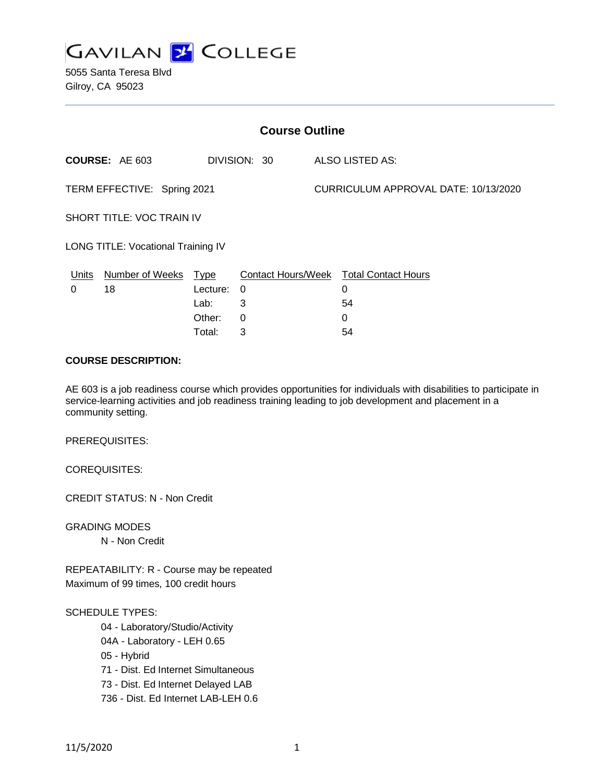

5055 Santa Teresa Blvd Gilroy, CA 95023

| <b>Course Outline</b>                     |                       |          |              |                                      |                                               |
|-------------------------------------------|-----------------------|----------|--------------|--------------------------------------|-----------------------------------------------|
|                                           | <b>COURSE: AE 603</b> |          | DIVISION: 30 |                                      | ALSO LISTED AS:                               |
| TERM EFFECTIVE: Spring 2021               |                       |          |              | CURRICULUM APPROVAL DATE: 10/13/2020 |                                               |
| SHORT TITLE: VOC TRAIN IV                 |                       |          |              |                                      |                                               |
| <b>LONG TITLE: Vocational Training IV</b> |                       |          |              |                                      |                                               |
| Units                                     | Number of Weeks Type  |          |              |                                      | <b>Contact Hours/Week Total Contact Hours</b> |
| 0                                         | 18                    | Lecture: | 0            |                                      | 0                                             |
|                                           |                       | Lab:     | 3            |                                      | 54                                            |
|                                           |                       | Other:   | 0            |                                      | 0                                             |
|                                           |                       | Total:   | 3            |                                      | 54                                            |

#### **COURSE DESCRIPTION:**

AE 603 is a job readiness course which provides opportunities for individuals with disabilities to participate in service-learning activities and job readiness training leading to job development and placement in a community setting.

PREREQUISITES:

COREQUISITES:

CREDIT STATUS: N - Non Credit

GRADING MODES N - Non Credit

REPEATABILITY: R - Course may be repeated Maximum of 99 times, 100 credit hours

### SCHEDULE TYPES:

04 - Laboratory/Studio/Activity

04A - Laboratory - LEH 0.65

05 - Hybrid

71 - Dist. Ed Internet Simultaneous

73 - Dist. Ed Internet Delayed LAB

736 - Dist. Ed Internet LAB-LEH 0.6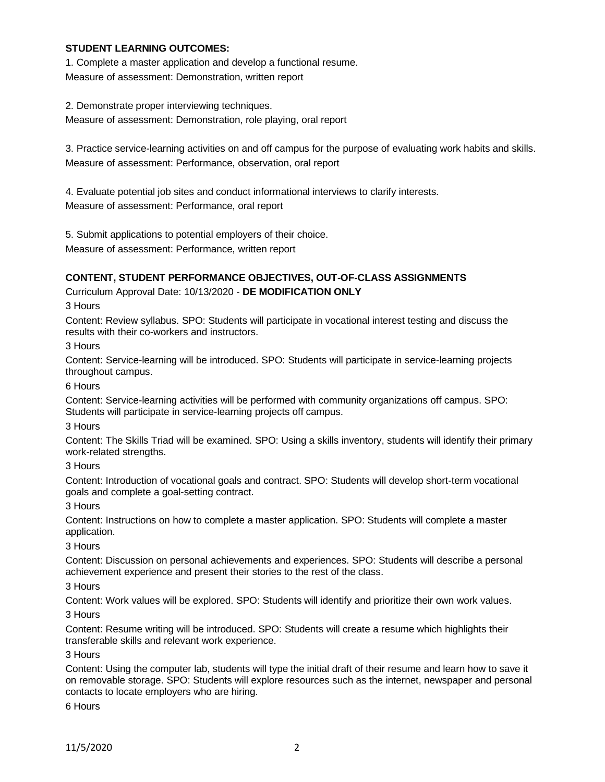### **STUDENT LEARNING OUTCOMES:**

1. Complete a master application and develop a functional resume. Measure of assessment: Demonstration, written report

2. Demonstrate proper interviewing techniques. Measure of assessment: Demonstration, role playing, oral report

3. Practice service-learning activities on and off campus for the purpose of evaluating work habits and skills. Measure of assessment: Performance, observation, oral report

4. Evaluate potential job sites and conduct informational interviews to clarify interests. Measure of assessment: Performance, oral report

5. Submit applications to potential employers of their choice.

Measure of assessment: Performance, written report

# **CONTENT, STUDENT PERFORMANCE OBJECTIVES, OUT-OF-CLASS ASSIGNMENTS**

## Curriculum Approval Date: 10/13/2020 - **DE MODIFICATION ONLY**

3 Hours

Content: Review syllabus. SPO: Students will participate in vocational interest testing and discuss the results with their co-workers and instructors.

3 Hours

Content: Service-learning will be introduced. SPO: Students will participate in service-learning projects throughout campus.

6 Hours

Content: Service-learning activities will be performed with community organizations off campus. SPO: Students will participate in service-learning projects off campus.

3 Hours

Content: The Skills Triad will be examined. SPO: Using a skills inventory, students will identify their primary work-related strengths.

3 Hours

Content: Introduction of vocational goals and contract. SPO: Students will develop short-term vocational goals and complete a goal-setting contract.

3 Hours

Content: Instructions on how to complete a master application. SPO: Students will complete a master application.

3 Hours

Content: Discussion on personal achievements and experiences. SPO: Students will describe a personal achievement experience and present their stories to the rest of the class.

## 3 Hours

Content: Work values will be explored. SPO: Students will identify and prioritize their own work values. 3 Hours

Content: Resume writing will be introduced. SPO: Students will create a resume which highlights their transferable skills and relevant work experience.

3 Hours

Content: Using the computer lab, students will type the initial draft of their resume and learn how to save it on removable storage. SPO: Students will explore resources such as the internet, newspaper and personal contacts to locate employers who are hiring.

6 Hours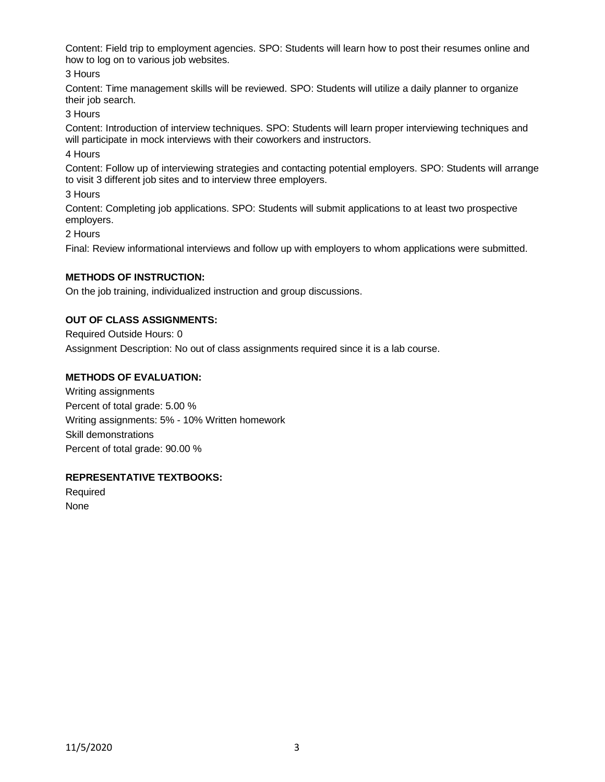Content: Field trip to employment agencies. SPO: Students will learn how to post their resumes online and how to log on to various job websites.

3 Hours

Content: Time management skills will be reviewed. SPO: Students will utilize a daily planner to organize their job search.

3 Hours

Content: Introduction of interview techniques. SPO: Students will learn proper interviewing techniques and will participate in mock interviews with their coworkers and instructors.

4 Hours

Content: Follow up of interviewing strategies and contacting potential employers. SPO: Students will arrange to visit 3 different job sites and to interview three employers.

3 Hours

Content: Completing job applications. SPO: Students will submit applications to at least two prospective employers.

2 Hours

Final: Review informational interviews and follow up with employers to whom applications were submitted.

### **METHODS OF INSTRUCTION:**

On the job training, individualized instruction and group discussions.

## **OUT OF CLASS ASSIGNMENTS:**

Required Outside Hours: 0 Assignment Description: No out of class assignments required since it is a lab course.

### **METHODS OF EVALUATION:**

Writing assignments Percent of total grade: 5.00 % Writing assignments: 5% - 10% Written homework Skill demonstrations Percent of total grade: 90.00 %

### **REPRESENTATIVE TEXTBOOKS:**

Required None